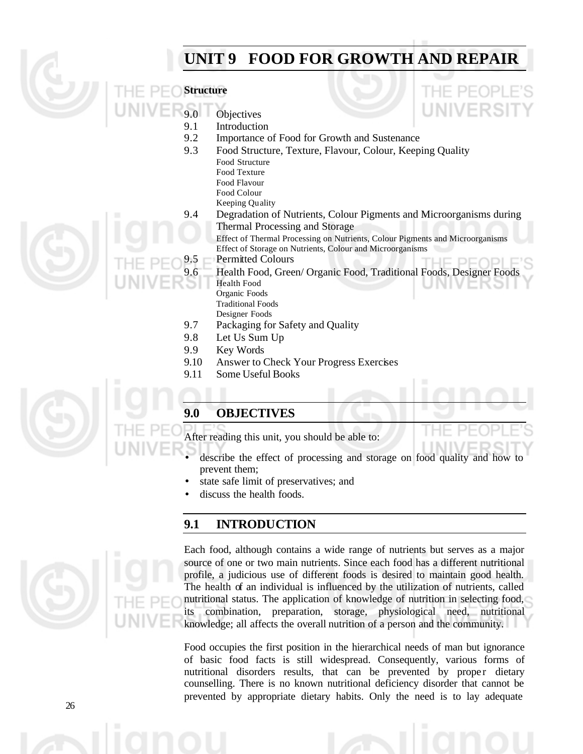# **UNIT 9 FOOD FOR GROWTH AND REPAIR**





- 9.0 Objectives
- 9.1 Introduction<br>9.2 Importance of
- Importance of Food for Growth and Sustenance
- 9.3 Food Structure, Texture, Flavour, Colour, Keeping Quality Food Structure
	- Food Texture
	- Food Flavour
	- Food Colour
	- Keeping Quality
- 9.4 Degradation of Nutrients, Colour Pigments and Microorganisms during Thermal Processing and Storage

Effect of Thermal Processing on Nutrients, Colour Pigments and Microorganisms Effect of Storage on Nutrients, Colour and Microorganisms

- 9.5 Permitted Colours
- 9.6 Health Food, Green/ Organic Food, Traditional Foods, Designer Foods Health Food
	- Organic Foods

Traditional Foods

- Designer Foods
- 9.7 Packaging for Safety and Quality
- 9.8 Let Us Sum Up
- 9.9 Key Words
- 9.10 Answer to Check Your Progress Exercises
- 9.11 Some Useful Books



# **9.0 OBJECTIVES**

After reading this unit, you should be able to:

- describe the effect of processing and storage on food quality and how to prevent them;
- state safe limit of preservatives; and
- discuss the health foods.

# **9.1 INTRODUCTION**



Each food, although contains a wide range of nutrients but serves as a major source of one or two main nutrients. Since each food has a different nutritional profile, a judicious use of different foods is desired to maintain good health. The health of an individual is influenced by the utilization of nutrients, called nutritional status. The application of knowledge of nutrition in selecting food, its combination, preparation, storage, physiological need, nutritional knowledge; all affects the overall nutrition of a person and the community.

Food occupies the first position in the hierarchical needs of man but ignorance of basic food facts is still widespread. Consequently, various forms of nutritional disorders results, that can be prevented by proper dietary counselling. There is no known nutritional deficiency disorder that cannot be prevented by appropriate dietary habits. Only the need is to lay adequate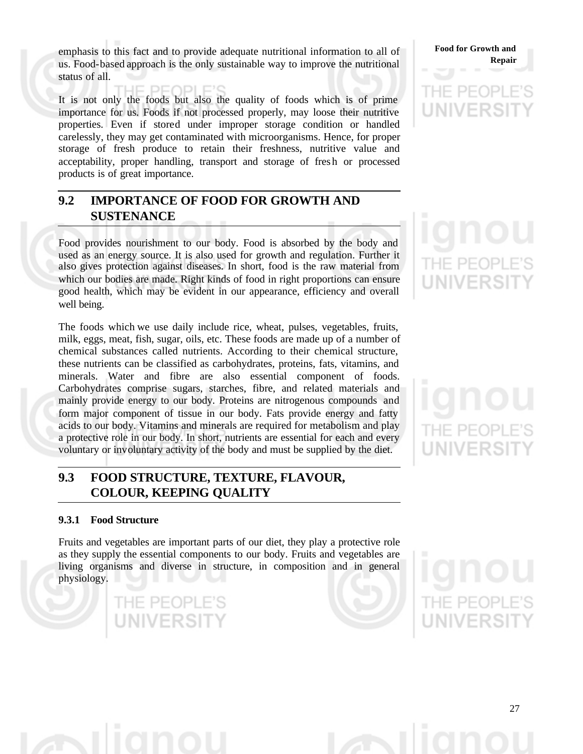emphasis to this fact and to provide adequate nutritional information to all of us. Food-based approach is the only sustainable way to improve the nutritional status of all.

It is not only the foods but also the quality of foods which is of prime importance for us. Foods if not processed properly, may loose their nutritive properties. Even if stored under improper storage condition or handled carelessly, they may get contaminated with microorganisms. Hence, for proper storage of fresh produce to retain their freshness, nutritive value and acceptability, proper handling, transport and storage of fresh or processed products is of great importance.

# **9.2 IMPORTANCE OF FOOD FOR GROWTH AND SUSTENANCE**

Food provides nourishment to our body. Food is absorbed by the body and used as an energy source. It is also used for growth and regulation. Further it also gives protection against diseases. In short, food is the raw material from which our bodies are made. Right kinds of food in right proportions can ensure good health, which may be evident in our appearance, efficiency and overall well being.

The foods which we use daily include rice, wheat, pulses, vegetables, fruits, milk, eggs, meat, fish, sugar, oils, etc. These foods are made up of a number of chemical substances called nutrients. According to their chemical structure, these nutrients can be classified as carbohydrates, proteins, fats, vitamins, and minerals. Water and fibre are also essential component of foods. Carbohydrates comprise sugars, starches, fibre, and related materials and mainly provide energy to our body. Proteins are nitrogenous compounds and form major component of tissue in our body. Fats provide energy and fatty acids to our body. Vitamins and minerals are required for metabolism and play a protective role in our body. In short, nutrients are essential for each and every voluntary or involuntary activity of the body and must be supplied by the diet.

# **9.3 FOOD STRUCTURE, TEXTURE, FLAVOUR, COLOUR, KEEPING QUALITY**

THE PEOPLE'S

UNIVERSIT

# **9.3.1 Food Structure**

Fruits and vegetables are important parts of our diet, they play a protective role as they supply the essential components to our body. Fruits and vegetables are living organisms and diverse in structure, in composition and in general physiology.

**Food for Growth and Repair**

# viiv

HE PEO **WIVERS** 

THE PEOP **UNIVERS** 

THE PEOP

**JNIVERSI** 

27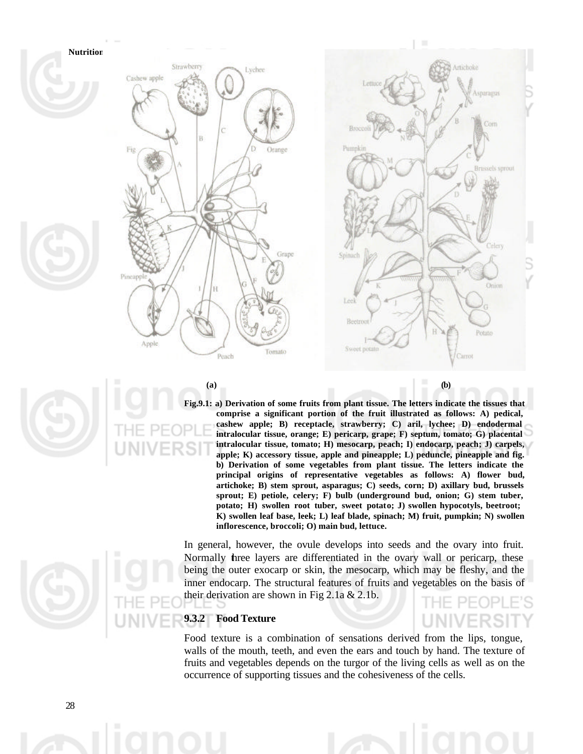

**Fig.9.1: a) Derivation of some fruits from plant tissue. The letters indicate the tissues that comprise a significant portion of the fruit illustrated as follows: A) pedical, cashew apple; B) receptacle, strawberry; C) aril, lychee; D) endodermal intralocular tissue, orange; E) pericarp, grape; F) septum, tomato; G) placental intralocular tissue, tomato; H) mesocarp, peach; I) endocarp, peach; J) carpels, apple; K) accessory tissue, apple and pineapple; L) peduncle, pineapple and fig. b) Derivation of some vegetables from plant tissue. The letters indicate the principal origins of representative vegetables as follows: A) flower bud, artichoke; B) stem sprout, asparagus; C) seeds, corn; D) axillary bud, brussels sprout; E) petiole, celery; F) bulb (underground bud, onion; G) stem tuber, potato; H) swollen root tuber, sweet potato; J) swollen hypocotyls, beetroot; K) swollen leaf base, leek; L) leaf blade, spinach; M) fruit, pumpkin; N) swollen inflorescence, broccoli; O) main bud, lettuce.**

In general, however, the ovule develops into seeds and the ovary into fruit. Normally three layers are differentiated in the ovary wall or pericarp, these being the outer exocarp or skin, the mesocarp, which may be fleshy, and the inner endocarp. The structural features of fruits and vegetables on the basis of their derivation are shown in Fig 2.1a & 2.1b.

# **9.3.2 Food Texture**

Food texture is a combination of sensations derived from the lips, tongue, walls of the mouth, teeth, and even the ears and touch by hand. The texture of fruits and vegetables depends on the turgor of the living cells as well as on the occurrence of supporting tissues and the cohesiveness of the cells.

INIVERSI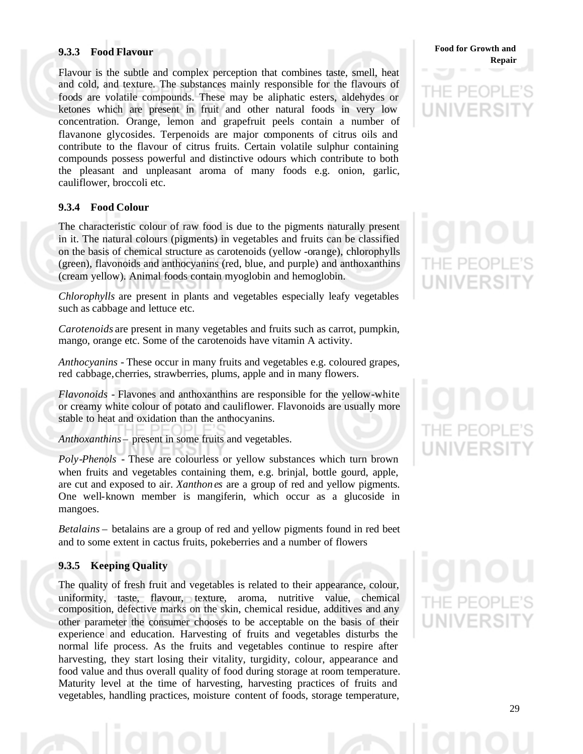# **9.3.3 Food Flavour**

Flavour is the subtle and complex perception that combines taste, smell, heat and cold, and texture. The substances mainly responsible for the flavours of foods are volatile compounds. These may be aliphatic esters, aldehydes or ketones which are present in fruit and other natural foods in very low concentration. Orange, lemon and grapefruit peels contain a number of flavanone glycosides. Terpenoids are major components of citrus oils and contribute to the flavour of citrus fruits. Certain volatile sulphur containing compounds possess powerful and distinctive odours which contribute to both the pleasant and unpleasant aroma of many foods e.g. onion, garlic, cauliflower, broccoli etc.

# **9.3.4 Food Colour**

The characteristic colour of raw food is due to the pigments naturally present in it. The natural colours (pigments) in vegetables and fruits can be classified on the basis of chemical structure as carotenoids (yellow -orange), chlorophylls (green), flavonoids and anthocyanins (red, blue, and purple) and anthoxanthins (cream yellow). Animal foods contain myoglobin and hemoglobin.

*Chlorophylls* are present in plants and vegetables especially leafy vegetables such as cabbage and lettuce etc.

*Carotenoids* are present in many vegetables and fruits such as carrot, pumpkin, mango, orange etc. Some of the carotenoids have vitamin A activity.

*Anthocyanins* - These occur in many fruits and vegetables e.g. coloured grapes, red cabbage, cherries, strawberries, plums, apple and in many flowers.

*Flavonoids* - Flavones and anthoxanthins are responsible for the yellow-white or creamy white colour of potato and cauliflower. Flavonoids are usually more stable to heat and oxidation than the anthocyanins.

*Anthoxanthins* – present in some fruits and vegetables.

*Poly-Phenols* - These are colourless or yellow substances which turn brown when fruits and vegetables containing them, e.g. brinjal, bottle gourd, apple, are cut and exposed to air. *Xanthon es* are a group of red and yellow pigments. One well-known member is mangiferin, which occur as a glucoside in mangoes.

*Betalains* – betalains are a group of red and yellow pigments found in red beet and to some extent in cactus fruits, pokeberries and a number of flowers

# **9.3.5 Keeping Quality**

The quality of fresh fruit and vegetables is related to their appearance, colour, uniformity, taste, flavour, texture, aroma, nutritive value, chemical composition, defective marks on the skin, chemical residue, additives and any other parameter the consumer chooses to be acceptable on the basis of their experience and education. Harvesting of fruits and vegetables disturbs the normal life process. As the fruits and vegetables continue to respire after harvesting, they start losing their vitality, turgidity, colour, appearance and food value and thus overall quality of food during storage at room temperature. Maturity level at the time of harvesting, harvesting practices of fruits and vegetables, handling practices, moisture content of foods, storage temperature,

**Food for Growth and Repair**

# IF PFO **UNIVERS**

# THE PEOP **UNIVERS**

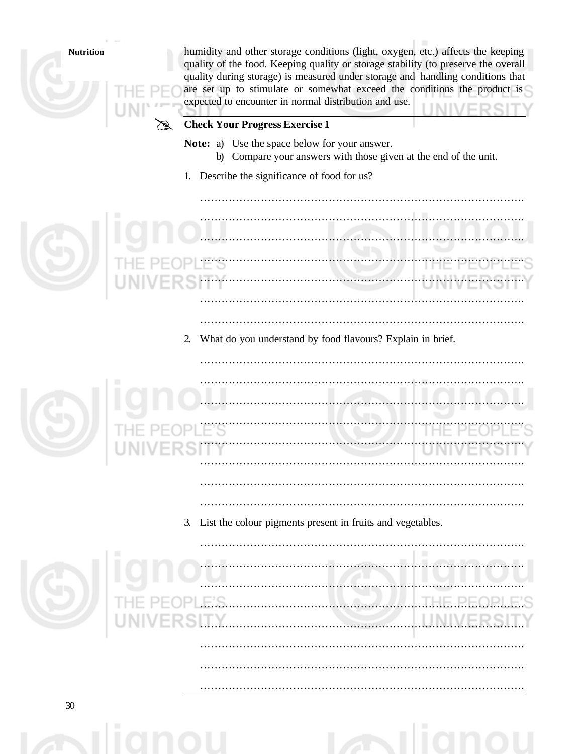| <b>Nutrition</b> | humidity and other storage conditions (light, oxygen, etc.) affects the keeping<br>quality of the food. Keeping quality or storage stability (to preserve the overall<br>quality during storage) is measured under storage and handling conditions that<br>are set up to stimulate or somewhat exceed the conditions the product is<br>expected to encounter in normal distribution and use.<br><b>Check Your Progress Exercise 1</b><br>Note: a) Use the space below for your answer.<br>b) Compare your answers with those given at the end of the unit. |
|------------------|------------------------------------------------------------------------------------------------------------------------------------------------------------------------------------------------------------------------------------------------------------------------------------------------------------------------------------------------------------------------------------------------------------------------------------------------------------------------------------------------------------------------------------------------------------|
|                  | 1. Describe the significance of food for us?                                                                                                                                                                                                                                                                                                                                                                                                                                                                                                               |
|                  |                                                                                                                                                                                                                                                                                                                                                                                                                                                                                                                                                            |
|                  |                                                                                                                                                                                                                                                                                                                                                                                                                                                                                                                                                            |
|                  |                                                                                                                                                                                                                                                                                                                                                                                                                                                                                                                                                            |
|                  |                                                                                                                                                                                                                                                                                                                                                                                                                                                                                                                                                            |
|                  |                                                                                                                                                                                                                                                                                                                                                                                                                                                                                                                                                            |
|                  | What do you understand by food flavours? Explain in brief.<br>$\overline{2}$                                                                                                                                                                                                                                                                                                                                                                                                                                                                               |
|                  |                                                                                                                                                                                                                                                                                                                                                                                                                                                                                                                                                            |
|                  |                                                                                                                                                                                                                                                                                                                                                                                                                                                                                                                                                            |
|                  |                                                                                                                                                                                                                                                                                                                                                                                                                                                                                                                                                            |
|                  |                                                                                                                                                                                                                                                                                                                                                                                                                                                                                                                                                            |
|                  |                                                                                                                                                                                                                                                                                                                                                                                                                                                                                                                                                            |
|                  |                                                                                                                                                                                                                                                                                                                                                                                                                                                                                                                                                            |
|                  | 3. List the colour pigments present in fruits and vegetables.                                                                                                                                                                                                                                                                                                                                                                                                                                                                                              |
|                  |                                                                                                                                                                                                                                                                                                                                                                                                                                                                                                                                                            |
|                  |                                                                                                                                                                                                                                                                                                                                                                                                                                                                                                                                                            |
|                  |                                                                                                                                                                                                                                                                                                                                                                                                                                                                                                                                                            |
|                  |                                                                                                                                                                                                                                                                                                                                                                                                                                                                                                                                                            |
|                  |                                                                                                                                                                                                                                                                                                                                                                                                                                                                                                                                                            |
|                  |                                                                                                                                                                                                                                                                                                                                                                                                                                                                                                                                                            |
|                  |                                                                                                                                                                                                                                                                                                                                                                                                                                                                                                                                                            |
| ว∩               |                                                                                                                                                                                                                                                                                                                                                                                                                                                                                                                                                            |

 $\sim$ iignou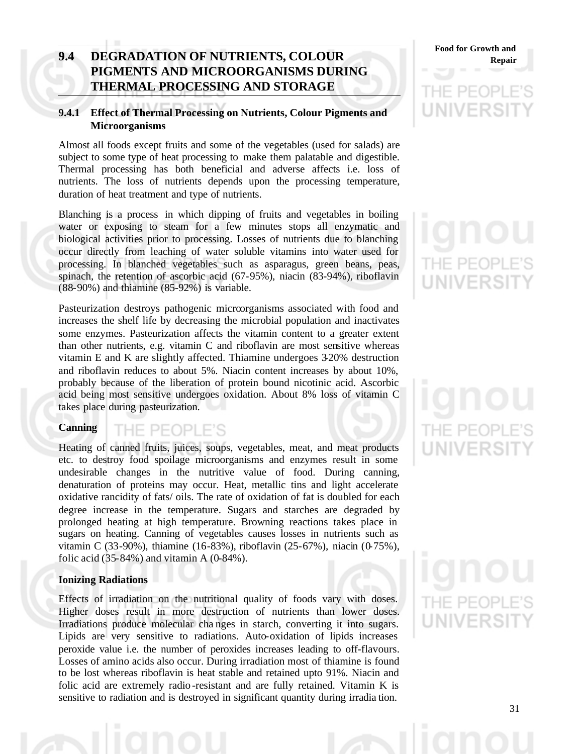# **9.4 DEGRADATION OF NUTRIENTS, COLOUR Repair PIGMENTS AND MICROORGANISMS DURING THERMAL PROCESSING AND STORAGE**

# **9.4.1 Effect of Thermal Processing on Nutrients, Colour Pigments and Microorganisms**

Almost all foods except fruits and some of the vegetables (used for salads) are subject to some type of heat processing to make them palatable and digestible. Thermal processing has both beneficial and adverse affects i.e. loss of nutrients. The loss of nutrients depends upon the processing temperature, duration of heat treatment and type of nutrients.

Blanching is a process in which dipping of fruits and vegetables in boiling water or exposing to steam for a few minutes stops all enzymatic and biological activities prior to processing. Losses of nutrients due to blanching occur directly from leaching of water soluble vitamins into water used for processing. In blanched vegetables such as asparagus, green beans, peas, spinach, the retention of ascorbic acid (67-95%), niacin (83-94%), riboflavin (88-90%) and thiamine (85-92%) is variable.

Pasteurization destroys pathogenic microorganisms associated with food and increases the shelf life by decreasing the microbial population and inactivates some enzymes. Pasteurization affects the vitamin content to a greater extent than other nutrients, e.g. vitamin C and riboflavin are most sensitive whereas vitamin E and K are slightly affected. Thiamine undergoes 3-20% destruction and riboflavin reduces to about 5%. Niacin content increases by about 10%, probably because of the liberation of protein bound nicotinic acid. Ascorbic acid being most sensitive undergoes oxidation. About 8% loss of vitamin C takes place during pasteurization.

## **Canning**

THE PEOPLE'S

Heating of canned fruits, juices, soups, vegetables, meat, and meat products etc. to destroy food spoilage microorganisms and enzymes result in some undesirable changes in the nutritive value of food. During canning, denaturation of proteins may occur. Heat, metallic tins and light accelerate oxidative rancidity of fats/ oils. The rate of oxidation of fat is doubled for each degree increase in the temperature. Sugars and starches are degraded by prolonged heating at high temperature. Browning reactions takes place in sugars on heating. Canning of vegetables causes losses in nutrients such as vitamin C (33-90%), thiamine (16-83%), riboflavin (25-67%), niacin (0-75%), folic acid  $(35-84%)$  and vitamin A  $(0-84%)$ .

## **Ionizing Radiations**

Effects of irradiation on the nutritional quality of foods vary with doses. Higher doses result in more destruction of nutrients than lower doses. Irradiations produce molecular cha nges in starch, converting it into sugars. Lipids are very sensitive to radiations. Auto-oxidation of lipids increases peroxide value i.e. the number of peroxides increases leading to off-flavours. Losses of amino acids also occur. During irradiation most of thiamine is found to be lost whereas riboflavin is heat stable and retained upto 91%. Niacin and folic acid are extremely radio -resistant and are fully retained. Vitamin K is sensitive to radiation and is destroyed in significant quantity during irradia tion.

**Food for Growth and** 

# IE PEC NIVERSI

# THE PEOP **UNIVERS**

# THE PEOP **UNIVERSI**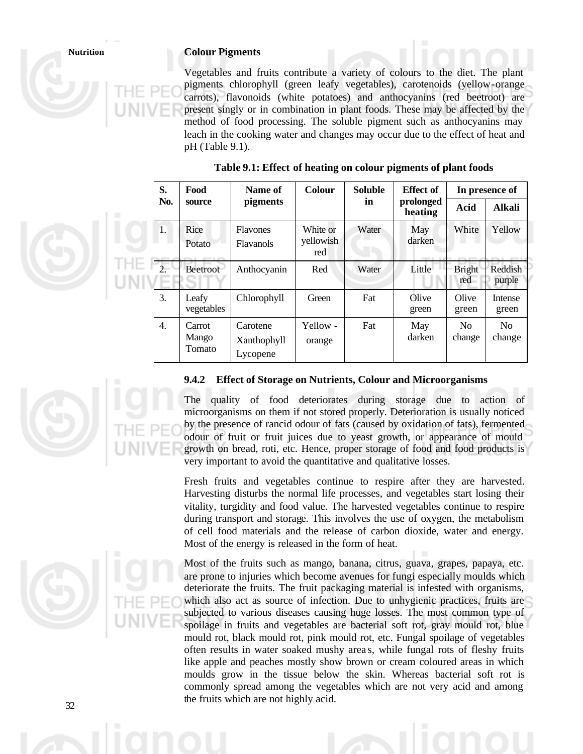# **Nutrition Colour Pigments**

Vegetables and fruits contribute a variety of colours to the diet. The plant pigments chlorophyll (green leafy vegetables), carotenoids (yellow-orange carrots), flavonoids (white potatoes) and anthocyanins (red beetroot) are present singly or in combination in plant foods. These may be affected by the method of food processing. The soluble pigment such as anthocyanins may leach in the cooking water and changes may occur due to the effect of heat and pH (Table 9.1).

| S.               | Food                      | Name of                             | <b>Colour</b>                | <b>Soluble</b> | <b>Effect of</b>     |                          | In presence of    |
|------------------|---------------------------|-------------------------------------|------------------------------|----------------|----------------------|--------------------------|-------------------|
| No.              | source                    | <i>pigments</i>                     |                              | in             | prolonged<br>heating | Acid                     | <b>Alkali</b>     |
| $\mathbf{1}$ .   | Rice<br>Potato            | <b>Flavones</b><br><b>Flavanols</b> | White or<br>yellowish<br>red | Water          | May<br>darken        | White                    | Yellow            |
| $\mathcal{D}$    | Beetroot                  | Anthocyanin                         | Red                          | Water          | Little               | <b>Bright</b><br>red     | Reddish<br>purple |
| 3.               | Leafy<br>vegetables       | Chlorophyll                         | Green                        | Fat            | Olive<br>green       | Olive<br>green           | Intense<br>green  |
| $\overline{4}$ . | Carrot<br>Mango<br>Tomato | Carotene<br>Xanthophyll<br>Lycopene | Yellow -<br>orange           | Fat            | May<br>darken        | N <sub>0</sub><br>change | No<br>change      |

## **Table 9.1: Effect of heating on colour pigments of plant foods**

## **9.4.2 Effect of Storage on Nutrients, Colour and Microorganisms**

The quality of food deteriorates during storage due to action of microorganisms on them if not stored properly. Deterioration is usually noticed by the presence of rancid odour of fats (caused by oxidation of fats), fermented odour of fruit or fruit juices due to yeast growth, or appearance of mould growth on bread, roti, etc. Hence, proper storage of food and food products is very important to avoid the quantitative and qualitative losses.

Fresh fruits and vegetables continue to respire after they are harvested. Harvesting disturbs the normal life processes, and vegetables start losing their vitality, turgidity and food value. The harvested vegetables continue to respire during transport and storage. This involves the use of oxygen, the metabolism of cell food materials and the release of carbon dioxide, water and energy. Most of the energy is released in the form of heat.

Most of the fruits such as mango, banana, citrus, guava, grapes, papaya, etc. are prone to injuries which become avenues for fungi especially moulds which deteriorate the fruits. The fruit packaging material is infested with organisms, which also act as source of infection. Due to unhygienic practices, fruits are subjected to various diseases causing huge losses. The most common type of spoilage in fruits and vegetables are bacterial soft rot, gray mould rot, blue mould rot, black mould rot, pink mould rot, etc. Fungal spoilage of vegetables often results in water soaked mushy area s, while fungal rots of fleshy fruits like apple and peaches mostly show brown or cream coloured areas in which moulds grow in the tissue below the skin. Whereas bacterial soft rot is commonly spread among the vegetables which are not very acid and among the fruits which are not highly acid.

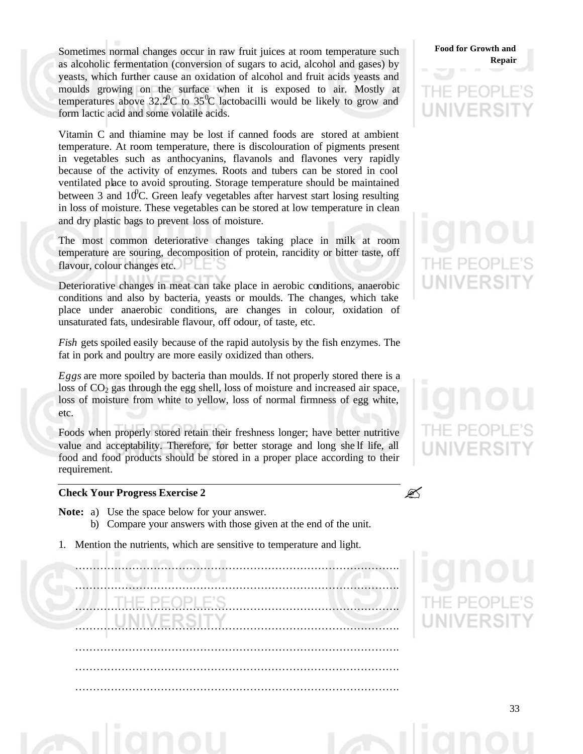Sometimes normal changes occur in raw fruit juices at room temperature such as alcoholic fermentation (conversion of sugars to acid, alcohol and gases) by yeasts, which further cause an oxidation of alcohol and fruit acids yeasts and moulds growing on the surface when it is exposed to air. Mostly at temperatures above  $32.2^{\circ}$ C to  $35^{\circ}$ C lactobacilli would be likely to grow and form lactic acid and some volatile acids.

Vitamin C and thiamine may be lost if canned foods are stored at ambient temperature. At room temperature, there is discolouration of pigments present in vegetables such as anthocyanins, flavanols and flavones very rapidly because of the activity of enzymes. Roots and tubers can be stored in cool ventilated place to avoid sprouting. Storage temperature should be maintained between 3 and  $10^{\circ}$ C. Green leafy vegetables after harvest start losing resulting in loss of moisture. These vegetables can be stored at low temperature in clean and dry plastic bags to prevent loss of moisture.

The most common deteriorative changes taking place in milk at room temperature are souring, decomposition of protein, rancidity or bitter taste, off flavour, colour changes etc.

Deteriorative changes in meat can take place in aerobic conditions, anaerobic conditions and also by bacteria, yeasts or moulds. The changes, which take place under anaerobic conditions, are changes in colour, oxidation of unsaturated fats, undesirable flavour, off odour, of taste, etc.

*Fish* gets spoiled easily because of the rapid autolysis by the fish enzymes. The fat in pork and poultry are more easily oxidized than others.

*Eggs* are more spoiled by bacteria than moulds. If not properly stored there is a loss of  $CO<sub>2</sub>$  gas through the egg shell, loss of moisture and increased air space, loss of moisture from white to yellow, loss of normal firmness of egg white, etc.

Foods when properly stored retain their freshness longer; have better nutritive value and acceptability. Therefore, for better storage and long she lf life, all food and food products should be stored in a proper place according to their requirement.

# **Check Your Progress Exercise 2**

**Note:** a) Use the space below for your answer.

- b) Compare your answers with those given at the end of the unit.
- 1. Mention the nutrients, which are sensitive to temperature and light.

………………………………………………………………………………. ………………………………………………………………………………. ………………………………………………………………………………. ………………………………………………………………………………. ………………………………………………………………………………. ………………………………………………………………………………. ……………………………………………………………………………….

# **Food for Growth and Repair**

# IE PEO **UNIVERS**



 $\mathscr{D}$ 

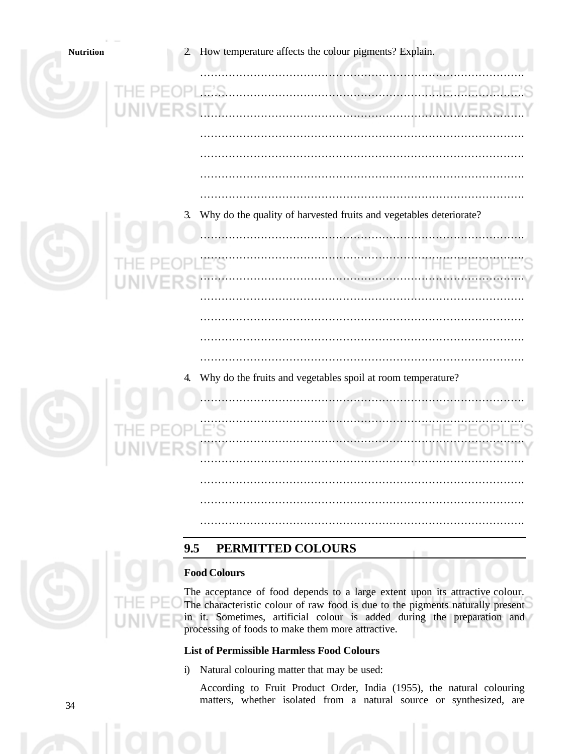| <b>Nutrition</b> |           | 2. How temperature affects the colour pigments? Explain.                                                                                                       |  |  |
|------------------|-----------|----------------------------------------------------------------------------------------------------------------------------------------------------------------|--|--|
|                  |           | PLE'S.                                                                                                                                                         |  |  |
|                  | NIVERSITY |                                                                                                                                                                |  |  |
|                  |           |                                                                                                                                                                |  |  |
|                  |           | 3. Why do the quality of harvested fruits and vegetables deteriorate?                                                                                          |  |  |
|                  |           |                                                                                                                                                                |  |  |
|                  |           |                                                                                                                                                                |  |  |
|                  |           |                                                                                                                                                                |  |  |
|                  |           |                                                                                                                                                                |  |  |
|                  |           |                                                                                                                                                                |  |  |
|                  |           |                                                                                                                                                                |  |  |
|                  | 4.        | Why do the fruits and vegetables spoil at room temperature?                                                                                                    |  |  |
|                  |           |                                                                                                                                                                |  |  |
|                  |           |                                                                                                                                                                |  |  |
|                  |           |                                                                                                                                                                |  |  |
|                  |           |                                                                                                                                                                |  |  |
|                  |           |                                                                                                                                                                |  |  |
|                  |           |                                                                                                                                                                |  |  |
|                  |           |                                                                                                                                                                |  |  |
|                  | 9.5       | PERMITTED COLOURS                                                                                                                                              |  |  |
|                  |           | <b>Food Colours</b>                                                                                                                                            |  |  |
|                  |           | The acceptance of food depends to a large extent upon its attractive colour.<br>The characteristic colour of raw food is due to the pigments naturally present |  |  |

# **List of Permissible Harmless Food Colours**

processing of foods to make them more attractive.

i) Natural colouring matter that may be used:

According to Fruit Product Order, India (1955), the natural colouring matters, whether isolated from a natural source or synthesized, are

in it. Sometimes, artificial colour is added during the preparation and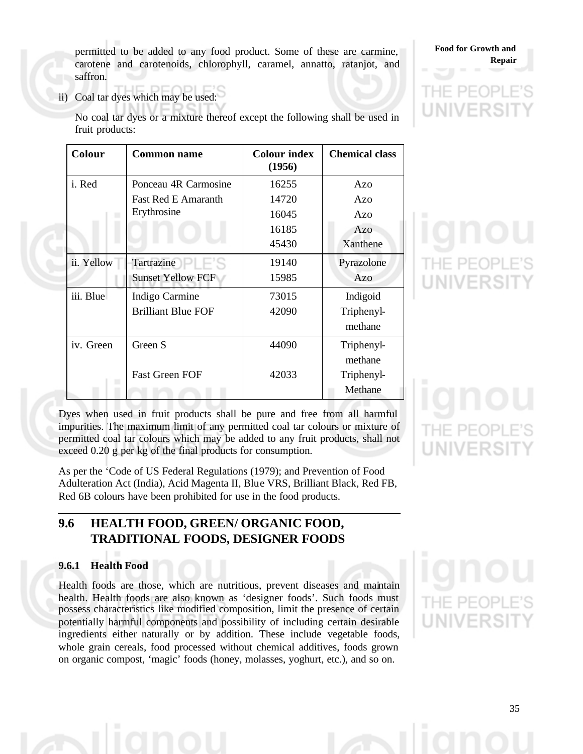permitted to be added to any food product. Some of these are carmine, carotene and carotenoids, chlorophyll, caramel, annatto, ratanjot, and saffron.

ii) Coal tar dyes which may be used:

| Colour     | Common name                | <b>Colour index</b><br>(1956) | <b>Chemical class</b> |
|------------|----------------------------|-------------------------------|-----------------------|
| i. Red     | Ponceau 4R Carmosine       | 16255                         | Azo                   |
|            | <b>Fast Red E Amaranth</b> | 14720                         | Azo                   |
|            | Erythrosine                | 16045                         | Azo                   |
|            |                            | 16185                         | Azo                   |
|            |                            | 45430                         | Xanthene              |
| ii. Yellow | Tartrazine – E             | 19140                         | Pyrazolone            |
|            | <b>Sunset Yellow FCF</b>   | 15985                         | Azo                   |
| iii. Blue  | Indigo Carmine             | 73015                         | Indigoid              |
|            | <b>Brilliant Blue FOF</b>  | 42090                         | Triphenyl-            |
|            |                            |                               | methane               |
| iv. Green  | Green S                    | 44090                         | Triphenyl-            |
|            |                            |                               | methane               |
|            | <b>Fast Green FOF</b>      | 42033                         | Triphenyl-            |
|            |                            |                               | Methane               |

No coal tar dyes or a mixture thereof except the following shall be used in fruit products:

Dyes when used in fruit products shall be pure and free from all harmful impurities. The maximum limit of any permitted coal tar colours or mixture of permitted coal tar colours which may be added to any fruit products, shall not exceed 0.20 g per kg of the final products for consumption.

As per the 'Code of US Federal Regulations (1979); and Prevention of Food Adulteration Act (India), Acid Magenta II, Blue VRS, Brilliant Black, Red FB, Red 6B colours have been prohibited for use in the food products.

# **9.6 HEALTH FOOD, GREEN/ ORGANIC FOOD, TRADITIONAL FOODS, DESIGNER FOODS**

# **9.6.1 Health Food**

Health foods are those, which are nutritious, prevent diseases and maintain health. Health foods are also known as 'designer foods'. Such foods must possess characteristics like modified composition, limit the presence of certain potentially harmful components and possibility of including certain desirable ingredients either naturally or by addition. These include vegetable foods, whole grain cereals, food processed without chemical additives, foods grown on organic compost, 'magic' foods (honey, molasses, yoghurt, etc.), and so on.

HF PF

35

IF PF

**Food for Growth and Repair**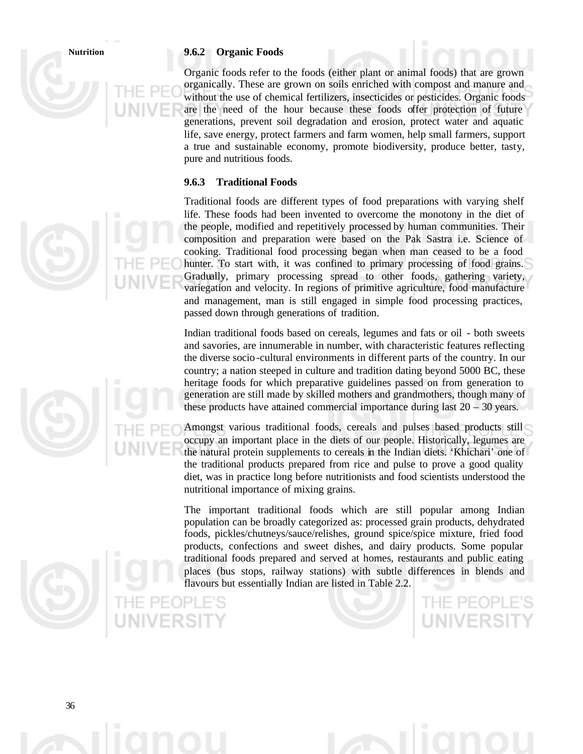## **Nutrition 9.6.2 Organic Foods**

Organic foods refer to the foods (either plant or animal foods) that are grown organically. These are grown on soils enriched with compost and manure and without the use of chemical fertilizers, insecticides or pesticides. Organic foods are the need of the hour because these foods offer protection of future generations, prevent soil degradation and erosion, protect water and aquatic life, save energy, protect farmers and farm women, help small farmers, support a true and sustainable economy, promote biodiversity, produce better, tasty, pure and nutritious foods.

# **9.6.3 Traditional Foods**

Traditional foods are different types of food preparations with varying shelf life. These foods had been invented to overcome the monotony in the diet of the people, modified and repetitively processed by human communities. Their composition and preparation were based on the Pak Sastra i.e. Science of cooking. Traditional food processing began when man ceased to be a food hunter. To start with, it was confined to primary processing of food grains. Gradually, primary processing spread to other foods, gathering variety, variegation and velocity. In regions of primitive agriculture, food manufacture and management, man is still engaged in simple food processing practices, passed down through generations of tradition.

Indian traditional foods based on cereals, legumes and fats or oil - both sweets and savories, are innumerable in number, with characteristic features reflecting the diverse socio-cultural environments in different parts of the country. In our country; a nation steeped in culture and tradition dating beyond 5000 BC, these heritage foods for which preparative guidelines passed on from generation to generation are still made by skilled mothers and grandmothers, though many of these products have attained commercial importance during last 20 – 30 years.

Amongst various traditional foods, cereals and pulses based products still occupy an important place in the diets of our people. Historically, legumes are the natural protein supplements to cereals in the Indian diets. 'Khichari' one of the traditional products prepared from rice and pulse to prove a good quality diet, was in practice long before nutritionists and food scientists understood the nutritional importance of mixing grains.

The important traditional foods which are still popular among Indian population can be broadly categorized as: processed grain products, dehydrated foods, pickles/chutneys/sauce/relishes, ground spice/spice mixture, fried food products, confections and sweet dishes, and dairy products. Some popular traditional foods prepared and served at homes, restaurants and public eating places (bus stops, railway stations) with subtle differences in blends and flavours but essentially Indian are listed in Table 2.2.

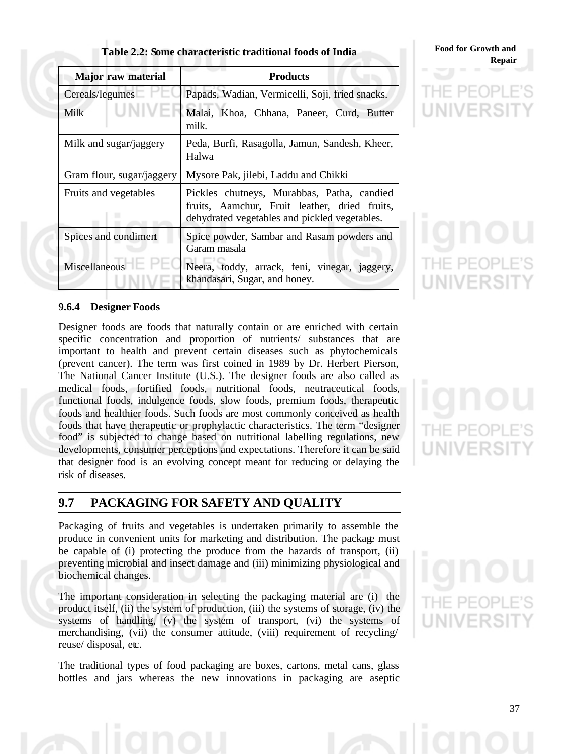| Table 2.2: Some characteristic traditional foods of India |  |  |  |  |  |  |
|-----------------------------------------------------------|--|--|--|--|--|--|
|-----------------------------------------------------------|--|--|--|--|--|--|

| <b>Major</b> raw material     | <b>Products</b>                                                                                                                              |  |  |  |  |
|-------------------------------|----------------------------------------------------------------------------------------------------------------------------------------------|--|--|--|--|
| Cereals/legumes               | Papads, Wadian, Vermicelli, Soji, fried snacks.                                                                                              |  |  |  |  |
| Milk                          | Malai, Khoa, Chhana, Paneer, Curd, Butter<br>milk.                                                                                           |  |  |  |  |
| Milk and sugar/jaggery        | Peda, Burfi, Rasagolla, Jamun, Sandesh, Kheer,<br>Halwa                                                                                      |  |  |  |  |
| Gram flour, sugar/jaggery     | Mysore Pak, jilebi, Laddu and Chikki                                                                                                         |  |  |  |  |
| Fruits and vegetables         | Pickles chutneys, Murabbas, Patha, candied<br>fruits, Aamchur, Fruit leather, dried fruits,<br>dehydrated vegetables and pickled vegetables. |  |  |  |  |
| Spices and condiment          | Spice powder, Sambar and Rasam powders and<br>Garam masala                                                                                   |  |  |  |  |
| Miscellaneous <b>Exercise</b> | Neera, toddy, arrack, feni, vinegar, jaggery,<br>khandasari, Sugar, and honey.                                                               |  |  |  |  |

**Food for Growth and Repair**

**PEOPLE'S**<br>**IVERSITY** 

# **9.6.4 Designer Foods**

Designer foods are foods that naturally contain or are enriched with certain specific concentration and proportion of nutrients/ substances that are important to health and prevent certain diseases such as phytochemicals (prevent cancer). The term was first coined in 1989 by Dr. Herbert Pierson, The National Cancer Institute (U.S.). The designer foods are also called as medical foods, fortified foods, nutritional foods, neutraceutical foods, functional foods, indulgence foods, slow foods, premium foods, therapeutic foods and healthier foods. Such foods are most commonly conceived as health foods that have therapeutic or prophylactic characteristics. The term "designer food" is subjected to change based on nutritional labelling regulations, new developments, consumer perceptions and expectations. Therefore it can be said that designer food is an evolving concept meant for reducing or delaying the risk of diseases.

# **9.7 PACKAGING FOR SAFETY AND QUALITY**

Packaging of fruits and vegetables is undertaken primarily to assemble the produce in convenient units for marketing and distribution. The package must be capable of (i) protecting the produce from the hazards of transport, (ii) preventing microbial and insect damage and (iii) minimizing physiological and biochemical changes.

The important consideration in selecting the packaging material are (i) the product itself, (ii) the system of production, (iii) the systems of storage, (iv) the systems of handling, (v) the system of transport, (vi) the systems of merchandising, (vii) the consumer attitude, (viii) requirement of recycling/ reuse/ disposal, etc.

The traditional types of food packaging are boxes, cartons, metal cans, glass bottles and jars whereas the new innovations in packaging are aseptic

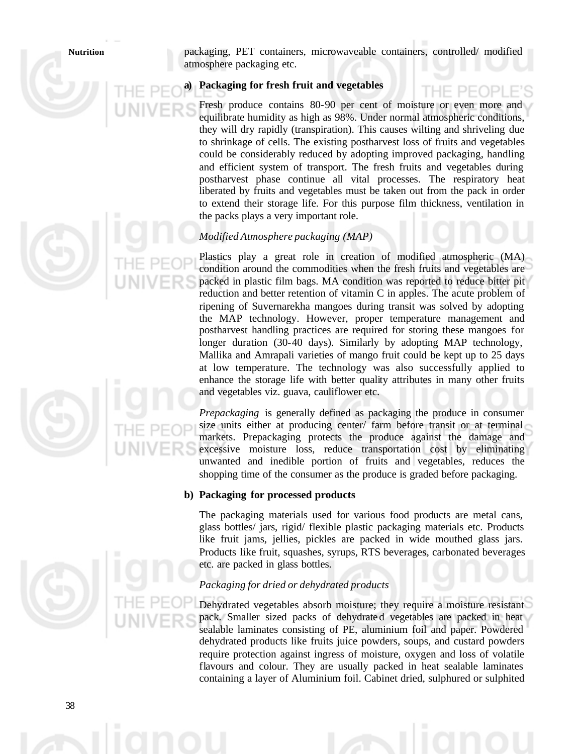**Nutrition** packaging, PET containers, microwaveable containers, controlled/ modified atmosphere packaging etc.

# **a) Packaging for fresh fruit and vegetables**

Fresh produce contains 80-90 per cent of moisture or even more and equilibrate humidity as high as 98%. Under normal atmospheric conditions, they will dry rapidly (transpiration). This causes wilting and shriveling due to shrinkage of cells. The existing postharvest loss of fruits and vegetables could be considerably reduced by adopting improved packaging, handling and efficient system of transport. The fresh fruits and vegetables during postharvest phase continue all vital processes. The respiratory heat liberated by fruits and vegetables must be taken out from the pack in order to extend their storage life. For this purpose film thickness, ventilation in the packs plays a very important role.

# *Modified Atmosphere packaging (MAP)*

Plastics play a great role in creation of modified atmospheric (MA) condition around the commodities when the fresh fruits and vegetables are packed in plastic film bags. MA condition was reported to reduce bitter pit reduction and better retention of vitamin C in apples. The acute problem of ripening of Suvernarekha mangoes during transit was solved by adopting the MAP technology. However, proper temperature management and postharvest handling practices are required for storing these mangoes for longer duration (30-40 days). Similarly by adopting MAP technology, Mallika and Amrapali varieties of mango fruit could be kept up to 25 days at low temperature. The technology was also successfully applied to enhance the storage life with better quality attributes in many other fruits and vegetables viz. guava, cauliflower etc.

*Prepackaging* is generally defined as packaging the produce in consumer size units either at producing center/ farm before transit or at terminal markets. Prepackaging protects the produce against the damage and excessive moisture loss, reduce transportation cost by eliminating unwanted and inedible portion of fruits and vegetables, reduces the shopping time of the consumer as the produce is graded before packaging.

# **b) Packaging for processed products**

The packaging materials used for various food products are metal cans, glass bottles/ jars, rigid/ flexible plastic packaging materials etc. Products like fruit jams, jellies, pickles are packed in wide mouthed glass jars. Products like fruit, squashes, syrups, RTS beverages, carbonated beverages etc. are packed in glass bottles.

# *Packaging for dried or dehydrated products*

Dehydrated vegetables absorb moisture; they require a moisture resistant pack. Smaller sized packs of dehydrated vegetables are packed in heat sealable laminates consisting of PE, aluminium foil and paper. Powdered dehydrated products like fruits juice powders, soups, and custard powders require protection against ingress of moisture, oxygen and loss of volatile flavours and colour. They are usually packed in heat sealable laminates containing a layer of Aluminium foil. Cabinet dried, sulphured or sulphited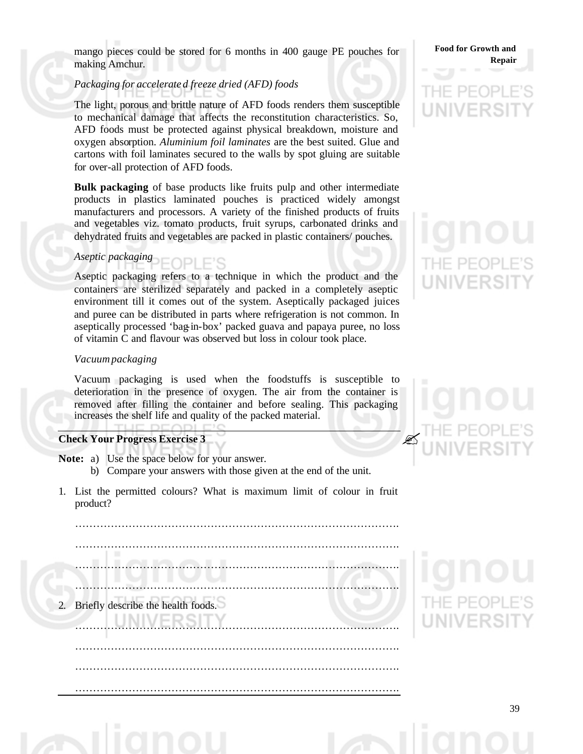mango pieces could be stored for 6 months in 400 gauge PE pouches for making Amchur.

# *Packaging for accelerate d freeze dried (AFD) foods*

The light, porous and brittle nature of AFD foods renders them susceptible to mechanical damage that affects the reconstitution characteristics. So, AFD foods must be protected against physical breakdown, moisture and oxygen absorption. *Aluminium foil laminates* are the best suited. Glue and cartons with foil laminates secured to the walls by spot gluing are suitable for over-all protection of AFD foods.

**Bulk packaging** of base products like fruits pulp and other intermediate products in plastics laminated pouches is practiced widely amongst manufacturers and processors. A variety of the finished products of fruits and vegetables viz. tomato products, fruit syrups, carbonated drinks and dehydrated fruits and vegetables are packed in plastic containers/ pouches.

## *Aseptic packaging* FOPI F'S

Aseptic packaging refers to a technique in which the product and the containers are sterilized separately and packed in a completely aseptic environment till it comes out of the system. Aseptically packaged juices and puree can be distributed in parts where refrigeration is not common. In aseptically processed 'bag-in-box' packed guava and papaya puree, no loss of vitamin C and flavour was observed but loss in colour took place.

# *Vacuum packaging*

Vacuum packaging is used when the foodstuffs is susceptible to deterioration in the presence of oxygen. The air from the container is removed after filling the container and before sealing. This packaging increases the shelf life and quality of the packed material.

# **Check Your Progress Exercise 3**

- **Note:** a) Use the space below for your answer. b) Compare your answers with those given at the end of the unit.
- 1. List the permitted colours? What is maximum limit of colour in fruit product?

……………………………………………………………………………….

………………………………………………………………………………. ………………………………………………………………………………. ………………………………………………………………………………. Briefly describe the health foods. ………………………………………………………………………………. ……………………………………………………………………………….

……………………………………………………………………………….

……………………………………………………………………………….

# $\mathscr{L}$



39

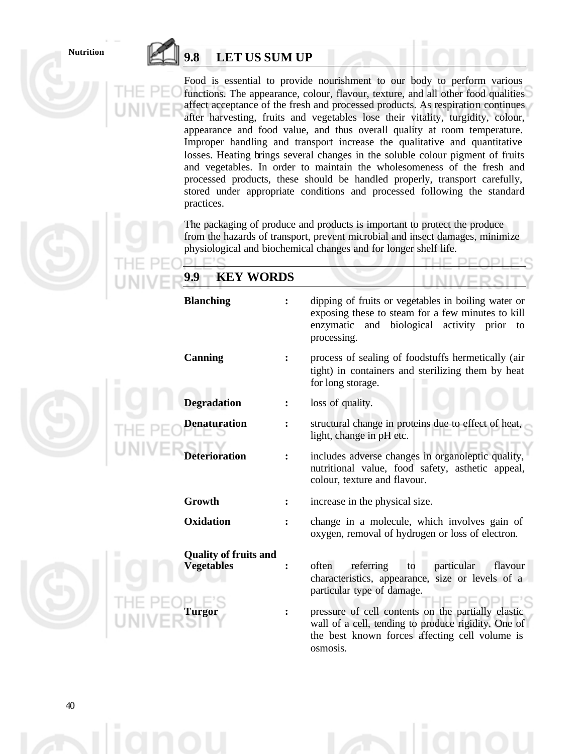# **Nutrition 9.8 LET US SUM UP**

 $\Box$ c

Food is essential to provide nourishment to our body to perform various functions. The appearance, colour, flavour, texture, and all other food qualities affect acceptance of the fresh and processed products. As respiration continues after harvesting, fruits and vegetables lose their vitality, turgidity, colour, appearance and food value, and thus overall quality at room temperature. Improper handling and transport increase the qualitative and quantitative losses. Heating brings several changes in the soluble colour pigment of fruits and vegetables. In order to maintain the wholesomeness of the fresh and processed products, these should be handled properly, transport carefully, stored under appropriate conditions and processed following the standard practices.

The packaging of produce and products is important to protect the produce from the hazards of transport, prevent microbial and insect damages, minimize physiological and biochemical changes and for longer shelf life.

|  | <b>KEY WORDS</b><br>9.9                                            |                                                                                                                                                                                                                                                                                                                |  |  |
|--|--------------------------------------------------------------------|----------------------------------------------------------------------------------------------------------------------------------------------------------------------------------------------------------------------------------------------------------------------------------------------------------------|--|--|
|  | <b>Blanching</b>                                                   | dipping of fruits or vegetables in boiling water or<br>exposing these to steam for a few minutes to kill<br>enzymatic and biological activity prior to<br>processing.                                                                                                                                          |  |  |
|  | Canning                                                            | process of sealing of foodstuffs hermetically (air<br>tight) in containers and sterilizing them by heat<br>for long storage.                                                                                                                                                                                   |  |  |
|  | <b>Degradation</b>                                                 | loss of quality.                                                                                                                                                                                                                                                                                               |  |  |
|  | Denaturation                                                       | structural change in proteins due to effect of heat,<br>light, change in pH etc.                                                                                                                                                                                                                               |  |  |
|  | <b>Deterioration</b>                                               | includes adverse changes in organoleptic quality,<br>nutritional value, food safety, asthetic appeal,<br>colour, texture and flavour.                                                                                                                                                                          |  |  |
|  | Growth                                                             | increase in the physical size.                                                                                                                                                                                                                                                                                 |  |  |
|  | Oxidation                                                          | change in a molecule, which involves gain of<br>oxygen, removal of hydrogen or loss of electron.                                                                                                                                                                                                               |  |  |
|  | <b>Quality of fruits and</b><br><b>Vegetables</b><br><b>Turgor</b> | often<br>particular<br>flavour<br>referring<br>to<br>characteristics, appearance, size or levels of a<br>particular type of damage.<br>pressure of cell contents on the partially elastic<br>wall of a cell, tending to produce rigidity. One of<br>the best known forces affecting cell volume is<br>osmosis. |  |  |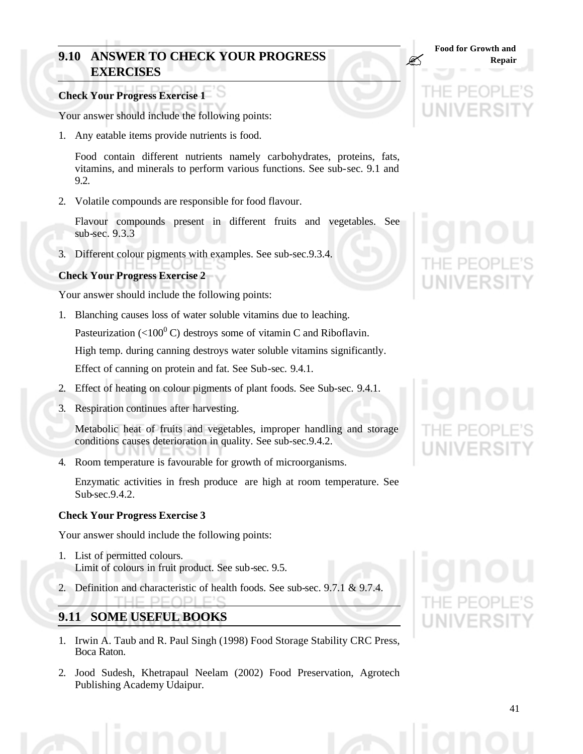# **9.10 ANSWER TO CHECK YOUR PROGRESS EXERCISES**

# **Check Your Progress Exercise 1**

Your answer should include the following points:

1. Any eatable items provide nutrients is food.

Food contain different nutrients namely carbohydrates, proteins, fats, vitamins, and minerals to perform various functions. See sub-sec. 9.1 and 9.2.

2. Volatile compounds are responsible for food flavour.

Flavour compounds present in different fruits and vegetables. See sub-sec. 9.3.3

3. Different colour pigments with examples. See sub-sec.9.3.4.

# **Check Your Progress Exercise 2**

Your answer should include the following points:

1. Blanching causes loss of water soluble vitamins due to leaching.

Pasteurization (<100<sup>0</sup> C) destroys some of vitamin C and Riboflavin.

High temp. during canning destroys water soluble vitamins significantly.

Effect of canning on protein and fat. See Sub-sec. 9.4.1.

- 2. Effect of heating on colour pigments of plant foods. See Sub-sec. 9.4.1.
- 3. Respiration continues after harvesting.

Metabolic heat of fruits and vegetables, improper handling and storage conditions causes deterioration in quality. See sub-sec.9.4.2.

4. Room temperature is favourable for growth of microorganisms.

Enzymatic activities in fresh produce are high at room temperature. See Sub-sec.9.4.2.

# **Check Your Progress Exercise 3**

Your answer should include the following points:

1. List of permitted colours. Limit of colours in fruit product. See sub-sec. 9.5.

THE PEOPLE'S

2. Definition and characteristic of health foods. See sub-sec. 9.7.1 & 9.7.4.

# **9.11 SOME USEFUL BOOKS**

- 1. Irwin A. Taub and R. Paul Singh (1998) Food Storage Stability CRC Press, Boca Raton.
- 2. Jood Sudesh, Khetrapaul Neelam (2002) Food Preservation, Agrotech Publishing Academy Udaipur.

**Food for Growth and** 

 $\mathbb{Z}$